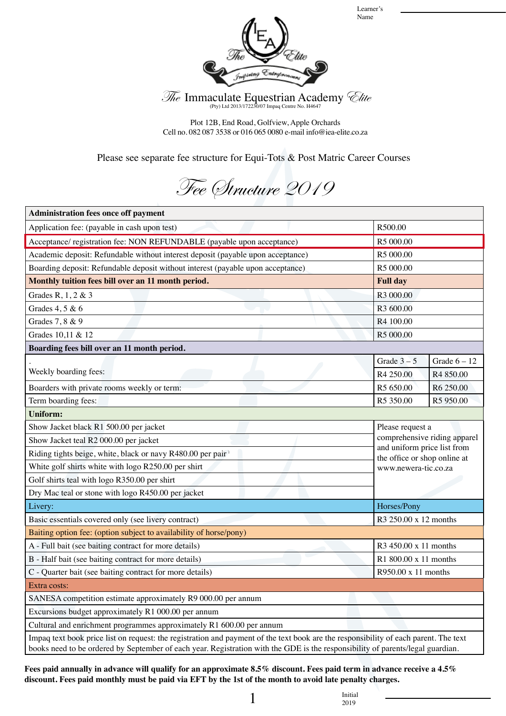Learner's Name



The Immaculate Equestrian Academy *Clite* 

Plot 12B, End Road, Golfview, Apple Orchards Cell no. 082 087 3538 or 016 065 0080 e-mail info@iea-elite.co.za

Please see separate fee structure for Equi-Tots & Post Matric Career Courses

Fee Structure 2019

| <b>Administration fees once off payment</b>                                                                                                                                                                                                                            |                                                                                                                                         |                |  |
|------------------------------------------------------------------------------------------------------------------------------------------------------------------------------------------------------------------------------------------------------------------------|-----------------------------------------------------------------------------------------------------------------------------------------|----------------|--|
| Application fee: (payable in cash upon test)                                                                                                                                                                                                                           | R500.00                                                                                                                                 |                |  |
| Acceptance/ registration fee: NON REFUNDABLE (payable upon acceptance)                                                                                                                                                                                                 | R5 000.00                                                                                                                               |                |  |
| Academic deposit: Refundable without interest deposit (payable upon acceptance)                                                                                                                                                                                        | R <sub>5</sub> 000.00                                                                                                                   |                |  |
| Boarding deposit: Refundable deposit without interest (payable upon acceptance)                                                                                                                                                                                        | R5 000.00                                                                                                                               |                |  |
| Monthly tuition fees bill over an 11 month period.                                                                                                                                                                                                                     | <b>Full day</b>                                                                                                                         |                |  |
| Grades R, 1, 2 & 3                                                                                                                                                                                                                                                     | R3 000.00                                                                                                                               |                |  |
| Grades 4, 5 & 6                                                                                                                                                                                                                                                        | R <sub>3</sub> 600.00                                                                                                                   |                |  |
| Grades 7, 8 & 9                                                                                                                                                                                                                                                        | R4 100.00                                                                                                                               |                |  |
| Grades 10,11 & 12                                                                                                                                                                                                                                                      | R5 000.00                                                                                                                               |                |  |
| Boarding fees bill over an 11 month period.                                                                                                                                                                                                                            |                                                                                                                                         |                |  |
|                                                                                                                                                                                                                                                                        | Grade $3-5$                                                                                                                             | Grade $6 - 12$ |  |
| Weekly boarding fees:                                                                                                                                                                                                                                                  | R4 250.00                                                                                                                               | R4 850.00      |  |
| Boarders with private rooms weekly or term:                                                                                                                                                                                                                            | R5 650.00                                                                                                                               | R6 250.00      |  |
| Term boarding fees:                                                                                                                                                                                                                                                    | R5 350.00                                                                                                                               | R5 950.00      |  |
| <b>Uniform:</b>                                                                                                                                                                                                                                                        |                                                                                                                                         |                |  |
| Show Jacket black R1 500.00 per jacket                                                                                                                                                                                                                                 | Please request a<br>comprehensive riding apparel<br>and uniform price list from<br>the office or shop online at<br>www.newera-tic.co.za |                |  |
| Show Jacket teal R2 000.00 per jacket                                                                                                                                                                                                                                  |                                                                                                                                         |                |  |
| Riding tights beige, white, black or navy R480.00 per pair                                                                                                                                                                                                             |                                                                                                                                         |                |  |
| White golf shirts white with logo R250.00 per shirt                                                                                                                                                                                                                    |                                                                                                                                         |                |  |
| Golf shirts teal with logo R350.00 per shirt                                                                                                                                                                                                                           |                                                                                                                                         |                |  |
| Dry Mac teal or stone with logo R450.00 per jacket                                                                                                                                                                                                                     |                                                                                                                                         |                |  |
| Livery:                                                                                                                                                                                                                                                                | Horses/Pony                                                                                                                             |                |  |
| Basic essentials covered only (see livery contract)                                                                                                                                                                                                                    | R3 250.00 x 12 months                                                                                                                   |                |  |
| Baiting option fee: (option subject to availability of horse/pony)                                                                                                                                                                                                     |                                                                                                                                         |                |  |
| A - Full bait (see baiting contract for more details)<br>R3 450.00 x 11 months                                                                                                                                                                                         |                                                                                                                                         |                |  |
| B - Half bait (see baiting contract for more details)                                                                                                                                                                                                                  | R1 800.00 x 11 months                                                                                                                   |                |  |
| C - Quarter bait (see baiting contract for more details)                                                                                                                                                                                                               | R950.00 x 11 months                                                                                                                     |                |  |
| Extra costs:                                                                                                                                                                                                                                                           |                                                                                                                                         |                |  |
| SANESA competition estimate approximately R9 000.00 per annum                                                                                                                                                                                                          |                                                                                                                                         |                |  |
| Excursions budget approximately R1 000.00 per annum                                                                                                                                                                                                                    |                                                                                                                                         |                |  |
| Cultural and enrichment programmes approximately R1 600.00 per annum                                                                                                                                                                                                   |                                                                                                                                         |                |  |
| Impaq text book price list on request: the registration and payment of the text book are the responsibility of each parent. The text<br>books need to be ordered by September of each year. Registration with the GDE is the responsibility of parents/legal guardian. |                                                                                                                                         |                |  |

**Fees paid annually in advance will qualify for an approximate 8.5% discount. Fees paid term in advance receive a 4.5% discount. Fees paid monthly must be paid via EFT by the 1st of the month to avoid late penalty charges.**

 $\frac{1}{2019}$  Initial

2019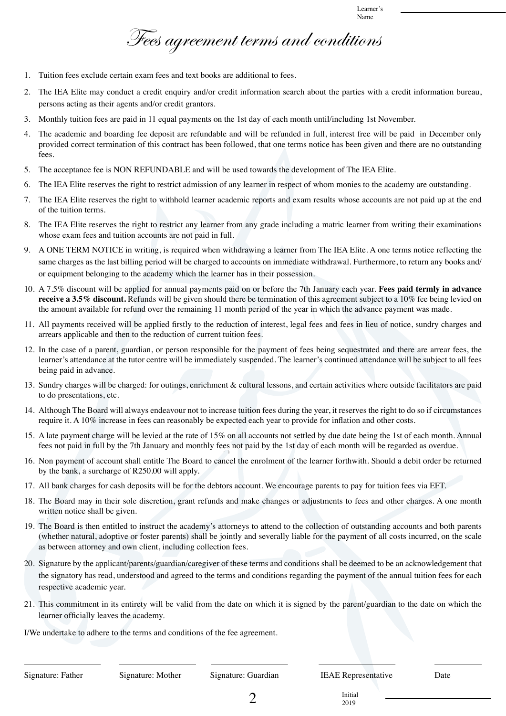Fees agreement terms and conditions

- 1. Tuition fees exclude certain exam fees and text books are additional to fees.
- 2. The IEA Elite may conduct a credit enquiry and/or credit information search about the parties with a credit information bureau, persons acting as their agents and/or credit grantors.
- 3. Monthly tuition fees are paid in 11 equal payments on the 1st day of each month until/including 1st November.
- 4. The academic and boarding fee deposit are refundable and will be refunded in full, interest free will be paid in December only provided correct termination of this contract has been followed, that one terms notice has been given and there are no outstanding fees.
- 5. The acceptance fee is NON REFUNDABLE and will be used towards the development of The IEA Elite.
- 6. The IEA Elite reserves the right to restrict admission of any learner in respect of whom monies to the academy are outstanding.
- 7. The IEA Elite reserves the right to withhold learner academic reports and exam results whose accounts are not paid up at the end of the tuition terms.
- 8. The IEA Elite reserves the right to restrict any learner from any grade including a matric learner from writing their examinations whose exam fees and tuition accounts are not paid in full.
- 9. A ONE TERM NOTICE in writing, is required when withdrawing a learner from The IEA Elite. A one terms notice reflecting the same charges as the last billing period will be charged to accounts on immediate withdrawal. Furthermore, to return any books and/ or equipment belonging to the academy which the learner has in their possession.
- 10. A 7.5% discount will be applied for annual payments paid on or before the 7th January each year. **Fees paid termly in advance receive a 3.5% discount.** Refunds will be given should there be termination of this agreement subject to a 10% fee being levied on the amount available for refund over the remaining 11 month period of the year in which the advance payment was made.
- 11. All payments received will be applied firstly to the reduction of interest, legal fees and fees in lieu of notice, sundry charges and arrears applicable and then to the reduction of current tuition fees.
- 12. In the case of a parent, guardian, or person responsible for the payment of fees being sequestrated and there are arrear fees, the learner's attendance at the tutor centre will be immediately suspended. The learner's continued attendance will be subject to all fees being paid in advance.
- 13. Sundry charges will be charged: for outings, enrichment & cultural lessons, and certain activities where outside facilitators are paid to do presentations, etc.
- 14. Although The Board will always endeavour not to increase tuition fees during the year, it reserves the right to do so if circumstances require it. A 10% increase in fees can reasonably be expected each year to provide for inflation and other costs.
- 15. A late payment charge will be levied at the rate of 15% on all accounts not settled by due date being the 1st of each month. Annual fees not paid in full by the 7th January and monthly fees not paid by the 1st day of each month will be regarded as overdue.
- 16. Non payment of account shall entitle The Board to cancel the enrolment of the learner forthwith. Should a debit order be returned by the bank, a surcharge of R250.00 will apply.
- 17. All bank charges for cash deposits will be for the debtors account. We encourage parents to pay for tuition fees via EFT.
- 18. The Board may in their sole discretion, grant refunds and make changes or adjustments to fees and other charges. A one month written notice shall be given.
- 19. The Board is then entitled to instruct the academy's attorneys to attend to the collection of outstanding accounts and both parents (whether natural, adoptive or foster parents) shall be jointly and severally liable for the payment of all costs incurred, on the scale as between attorney and own client, including collection fees.
- 20. Signature by the applicant/parents/guardian/caregiver of these terms and conditions shall be deemed to be an acknowledgement that the signatory has read, understood and agreed to the terms and conditions regarding the payment of the annual tuition fees for each respective academic year.
- 21. This commitment in its entirety will be valid from the date on which it is signed by the parent/guardian to the date on which the learner officially leaves the academy.

I/We undertake to adhere to the terms and conditions of the fee agreement.

2019

 $\sum_{\substack{2019}}$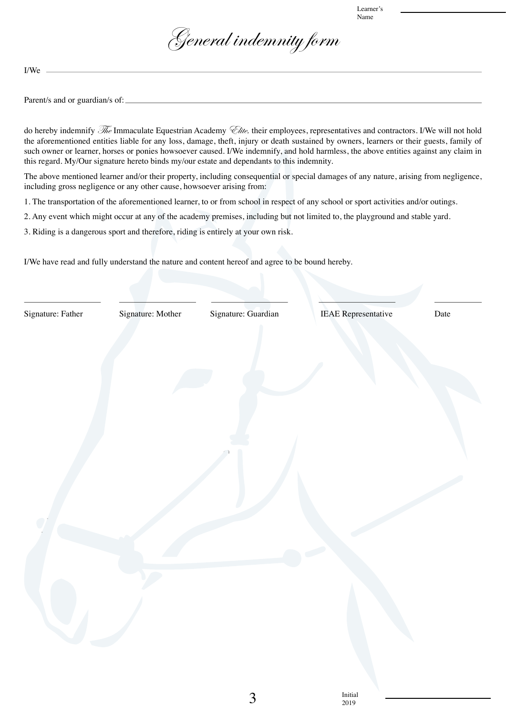Learner Name



I/We

Parent/s and or guardian/s of:

do hereby indemnify  $\mathcal{F}_\ell$  Immaculate Equestrian Academy  $\mathcal{F}_\ell$  their employees, representatives and contractors. I/We will not hold the aforementioned entities liable for any loss, damage, theft, injury or death sustained by owners, learners or their guests, family of such owner or learner, horses or ponies howsoever caused. I/We indemnify, and hold harmless, the above entities against any claim in this regard. My/Our signature hereto binds my/our estate and dependants to this indemnity.

The above mentioned learner and/or their property, including consequential or special damages of any nature, arising from negligence, including gross negligence or any other cause, howsoever arising from:

1. The transportation of the aforementioned learner, to or from school in respect of any school or sport activities and/or outings.

2. Any event which might occur at any of the academy premises, including but not limited to, the playground and stable yard.

3. Riding is a dangerous sport and therefore, riding is entirely at your own risk.

I/We have read and fully understand the nature and content hereof and agree to be bound hereby.

Signature: Father Signature: Mother Signature: Guardian IEAE Representative Date